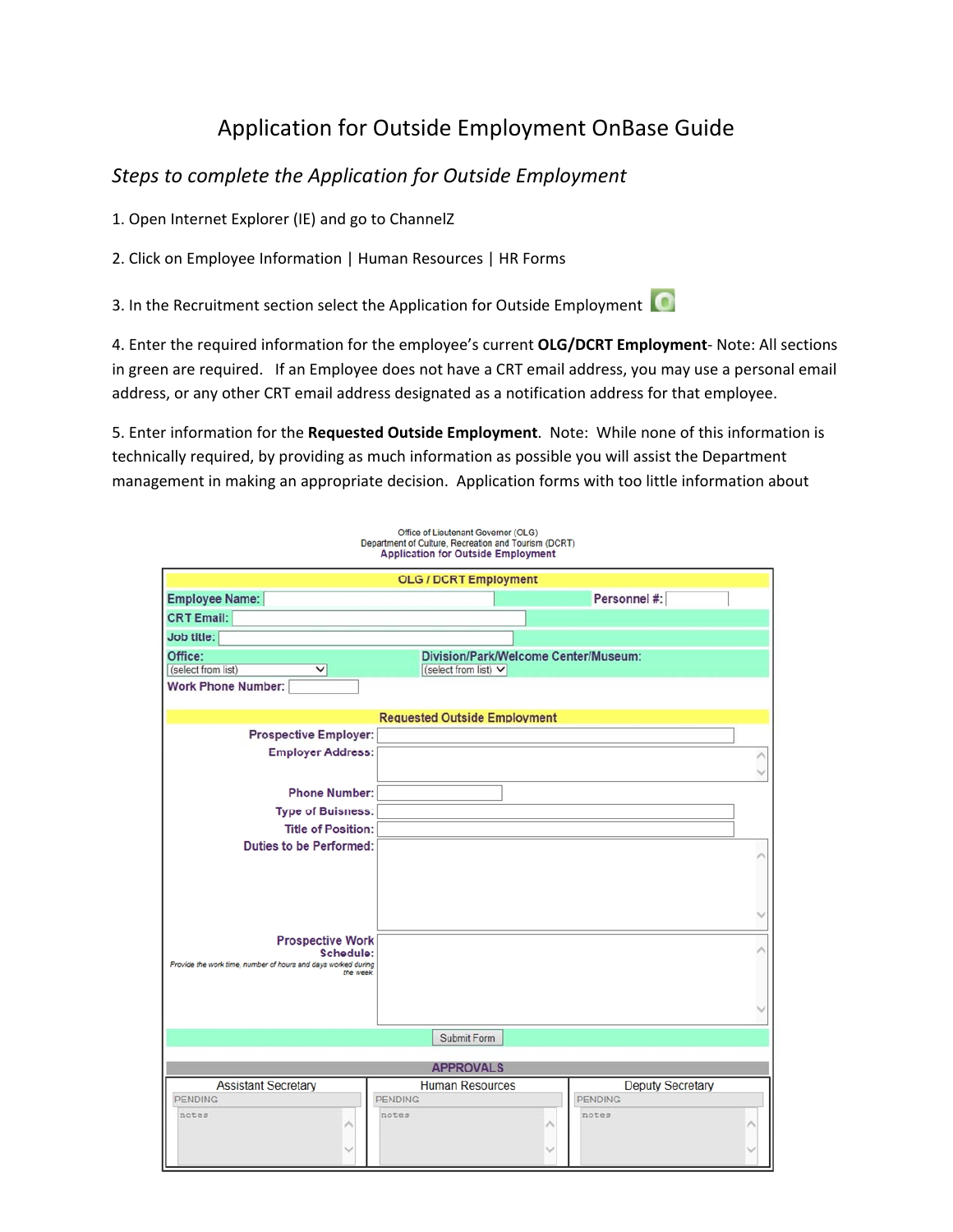## Application for Outside Employment OnBase Guide

## *Steps to complete the Application for Outside Employment*

1. Open Internet Explorer (IE) and go to ChannelZ

2. Click on Employee Information | Human Resources | HR Forms

3. In the Recruitment section select the Application for Outside Employment

4. Enter the required information for the employee's current **OLG/DCRT Employment**‐ Note: All sections in green are required. If an Employee does not have a CRT email address, you may use a personal email address, or any other CRT email address designated as a notification address for that employee.

5. Enter information for the **Requested Outside Employment**. Note: While none of this information is technically required, by providing as much information as possible you will assist the Department management in making an appropriate decision. Application forms with too little information about

| Office of Lieutenant Governor (OLG)<br>Department of Culture, Recreation and Tourism (DCRT)<br><b>Application for Outside Employment</b> |                                      |                          |
|------------------------------------------------------------------------------------------------------------------------------------------|--------------------------------------|--------------------------|
| <b>OLG / DCRT Employment</b>                                                                                                             |                                      |                          |
| Employee Name:                                                                                                                           |                                      | Personnel #:             |
| <b>CRT Email:</b>                                                                                                                        |                                      |                          |
| Job title:                                                                                                                               |                                      |                          |
| Office:                                                                                                                                  | Division/Park/Welcome Center/Museum: |                          |
| (select from list)<br>$\checkmark$                                                                                                       | (select from list) V                 |                          |
| <b>Work Phone Number:</b>                                                                                                                |                                      |                          |
| <b>Requested Outside Employment</b>                                                                                                      |                                      |                          |
| <b>Prospective Employer:</b>                                                                                                             |                                      |                          |
| <b>Employer Address:</b>                                                                                                                 |                                      |                          |
|                                                                                                                                          |                                      |                          |
| <b>Phone Number:</b>                                                                                                                     |                                      |                          |
| <b>Type of Buisness:</b>                                                                                                                 |                                      |                          |
| <b>Title of Position:</b>                                                                                                                |                                      |                          |
| <b>Duties to be Performed:</b>                                                                                                           |                                      |                          |
|                                                                                                                                          |                                      |                          |
|                                                                                                                                          |                                      |                          |
|                                                                                                                                          |                                      |                          |
|                                                                                                                                          |                                      |                          |
| <b>Prospective Work</b>                                                                                                                  |                                      |                          |
| Schedule:<br>Provide the work time, number of hours and days worked during                                                               |                                      |                          |
| the week.                                                                                                                                |                                      |                          |
|                                                                                                                                          |                                      |                          |
|                                                                                                                                          |                                      |                          |
|                                                                                                                                          | Submit Form                          |                          |
|                                                                                                                                          |                                      |                          |
| <b>APPROVALS</b>                                                                                                                         |                                      |                          |
| <b>Assistant Secretary</b>                                                                                                               | <b>Human Resources</b>               | <b>Deputy Secretary</b>  |
| <b>PENDING</b><br>notes                                                                                                                  | <b>PENDING</b><br>notes              | <b>PENDING</b><br>notes. |
|                                                                                                                                          |                                      |                          |
|                                                                                                                                          |                                      |                          |
|                                                                                                                                          |                                      |                          |